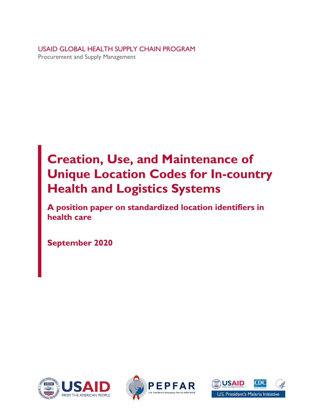USAID GLOBAL HEALTH SUPPLY CHAIN PROGRAM Procurement and Supply Management

# **Creation, Use, and Maintenance of Unique Location Codes for In-country Health and Logistics Systems**

**A position paper on standardized location identifiers in health care**

**September 2020**





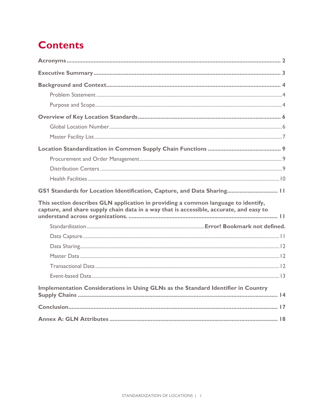## **Contents**

<span id="page-1-0"></span>

| GS1 Standards for Location Identification, Capture, and Data Sharing 11                                                                                                       |  |
|-------------------------------------------------------------------------------------------------------------------------------------------------------------------------------|--|
| This section describes GLN application in providing a common language to identify,<br>capture, and share supply chain data in a way that is accessible, accurate, and easy to |  |
|                                                                                                                                                                               |  |
|                                                                                                                                                                               |  |
|                                                                                                                                                                               |  |
|                                                                                                                                                                               |  |
|                                                                                                                                                                               |  |
|                                                                                                                                                                               |  |
| Implementation Considerations in Using GLNs as the Standard Identifier in Country                                                                                             |  |
|                                                                                                                                                                               |  |
|                                                                                                                                                                               |  |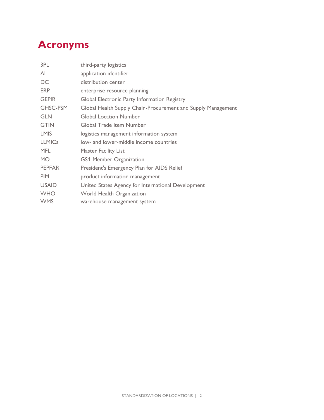## **Acronyms**

| 3PL             | third-party logistics                                        |  |  |  |  |
|-----------------|--------------------------------------------------------------|--|--|--|--|
| AI              | application identifier                                       |  |  |  |  |
| DC              | distribution center                                          |  |  |  |  |
| <b>ERP</b>      | enterprise resource planning                                 |  |  |  |  |
| <b>GEPIR</b>    | Global Electronic Party Information Registry                 |  |  |  |  |
| <b>GHSC-PSM</b> | Global Health Supply Chain-Procurement and Supply Management |  |  |  |  |
| <b>GLN</b>      | <b>Global Location Number</b>                                |  |  |  |  |
| <b>GTIN</b>     | Global Trade Item Number                                     |  |  |  |  |
| <b>LMIS</b>     | logistics management information system                      |  |  |  |  |
| <b>LLMICs</b>   | low- and lower-middle income countries                       |  |  |  |  |
| <b>MFL</b>      | <b>Master Facility List</b>                                  |  |  |  |  |
| <b>MO</b>       | GS1 Member Organization                                      |  |  |  |  |
| <b>PEPFAR</b>   | President's Emergency Plan for AIDS Relief                   |  |  |  |  |
| <b>PIM</b>      | product information management                               |  |  |  |  |
| <b>USAID</b>    | United States Agency for International Development           |  |  |  |  |
| <b>WHO</b>      | World Health Organization                                    |  |  |  |  |
| <b>WMS</b>      | warehouse management system                                  |  |  |  |  |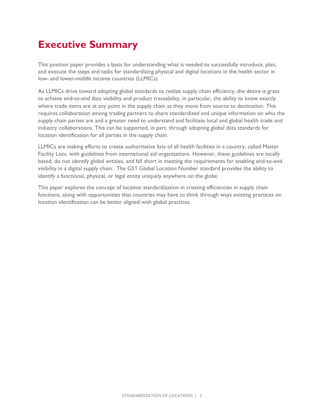## <span id="page-3-0"></span>**Executive Summary**

This position paper provides a basis for understanding what is needed to successfully introduce, plan, and execute the steps and tasks for standardizing physical and digital locations in the health sector in low- and lower-middle income countries (LLMICs).

As LLMICs drive toward adopting global standards to realize supply chain efficiency, the desire is great to achieve end-to-end data visibility and product traceability, in particular, the ability to know exactly where trade items are at any point in the supply chain as they move from source to destination. This requires collaboration among trading partners to share standardized and unique information on who the supply chain parties are and a greater need to understand and facilitate local and global health trade and industry collaborations. This can be supported, in part, through adopting global data standards for location identification for all parties in the supply chain.

LLMICs are making efforts to create authoritative lists of all health facilities in a country, called Master Facility Lists, with guidelines from international aid organizations. However, these guidelines are locally based, do not identify global entities, and fall short in meeting the requirements for enabling end-to-end visibility in a digital supply chain. The GS1 Global Location Number standard provides the ability to identify a functional, physical, or legal entity uniquely anywhere on the globe.

This paper explores the concept of location standardization in creating efficiencies in supply chain functions, along with opportunities that countries may have to think through ways existing practices on location identification can be better aligned with global practices.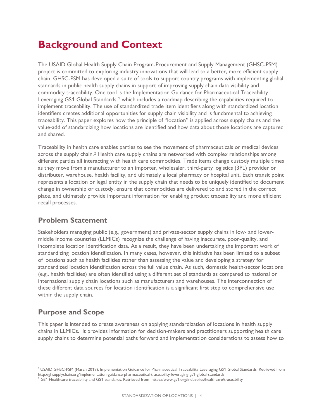## <span id="page-4-0"></span>**Background and Context**

The USAID Global Health Supply Chain Program-Procurement and Supply Management (GHSC-PSM) project is committed to exploring industry innovations that will lead to a better, more efficient supply chain. GHSC-PSM has developed a suite of tools to support country programs with implementing global standards in public health supply chains in support of improving supply chain data visibility and commodity traceability. One tool is the Implementation Guidance for Pharmaceutical Traceability Leveraging GS[1](#page-4-3) Global Standards,<sup>1</sup> which includes a roadmap describing the capabilities required to implement traceability. The use of standardized trade item identifiers along with standardized location identifiers creates additional opportunities for supply chain visibility and is fundamental to achieving traceability. This paper explores how the principle of "location" is applied across supply chains and the value-add of standardizing how locations are identified and how data about those locations are captured and shared.

Traceability in health care enables parties to see the movement of pharmaceuticals or medical devices across the supply chain.[2](#page-4-4) Health care supply chains are networked with complex relationships among different parties all interacting with health care commodities. Trade items change custody multiple times as they move from a manufacturer to an importer, wholesaler, third-party logistics (3PL) provider or distributer, warehouse, health facility, and ultimately a local pharmacy or hospital unit. Each transit point represents a location or legal entity in the supply chain that needs to be uniquely identified to document change in ownership or custody, ensure that commodities are delivered to and stored in the correct place, and ultimately provide important information for enabling product traceability and more efficient recall processes.

### <span id="page-4-1"></span>**Problem Statement**

Stakeholders managing public (e.g., government) and private-sector supply chains in low- and lowermiddle income countries (LLMICs) recognize the challenge of having inaccurate, poor-quality, and incomplete location identification data. As a result, they have been undertaking the important work of standardizing location identification. In many cases, however, this initiative has been limited to a subset of locations such as health facilities rather than assessing the value and developing a strategy for standardized location identification across the full value chain. As such, domestic health-sector locations (e.g., health facilities) are often identified using a different set of standards as compared to national or international supply chain locations such as manufacturers and warehouses. The interconnection of these different data sources for location identification is a significant first step to comprehensive use within the supply chain.

### <span id="page-4-2"></span>**Purpose and Scope**

This paper is intended to create awareness on applying standardization of locations in health supply chains in LLMICs. It provides information for decision-makers and practitioners supporting health care supply chains to determine potential paths forward and implementation considerations to assess how to

<span id="page-4-3"></span><sup>1</sup> USAID GHSC-PSM (March 2019). Implementation Guidance for Pharmaceutical Traceability Leveraging GS1 Global Standards. Retrieved from http://ghsupplychain.org/implementation-guidance-pharmaceutical-traceability-leveraging-gs1-global-standards

<span id="page-4-4"></span><sup>&</sup>lt;sup>2</sup> GS1 Healthcare traceability and GS1 standards. Retrieved from https://www.gs1.org/industries/healthcare/traceability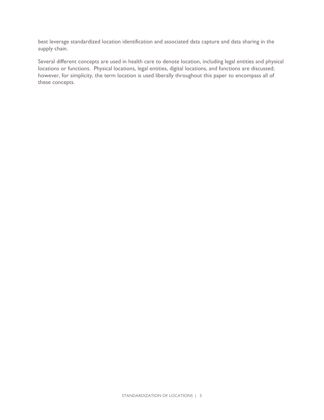best leverage standardized location identification and associated data capture and data sharing in the supply chain.

Several different concepts are used in health care to denote location, including legal entities and physical locations or functions. Physical locations, legal entities, digital locations, and functions are discussed; however, for simplicity, the term location is used liberally throughout this paper to encompass all of these concepts.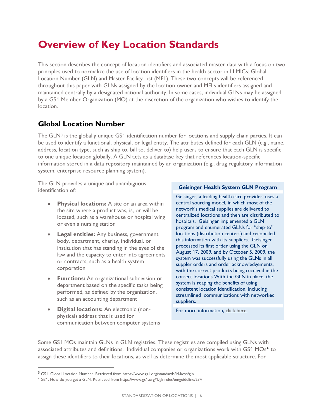## <span id="page-6-0"></span>**Overview of Key Location Standards**

This section describes the concept of location identifiers and associated master data with a focus on two principles used to normalize the use of location identifiers in the health sector in LLMICs: Global Location Number (GLN) and Master Facility List (MFL). These two concepts will be referenced throughout this paper with GLNs assigned by the location owner and MFLs identifiers assigned and maintained centrally by a designated national authority. In some cases, individual GLNs may be assigned by a GS1 Member Organization (MO) at the discretion of the organization who wishes to identify the location.

### <span id="page-6-1"></span>**Global Location Number**

The GLN<sup>[3](#page-6-2)</sup> is the globally unique GS1 identification number for locations and supply chain parties. It can be used to identify a functional, physical, or legal entity. The attributes defined for each GLN (e.g., name, address, location type, such as ship to, bill to, deliver to) help users to ensure that each GLN is specific to one unique location globally. A GLN acts as a database key that references location-specific information stored in a data repository maintained by an organization (e.g., drug regulatory information system, enterprise resource planning system).

The GLN provides a unique and unambiguous identification of:

- **Physical locations:** A site or an area within the site where a product was, is, or will be located, such as a warehouse or hospital wing or even a nursing station
- **Legal entities:** Any business, government body, department, charity, individual, or institution that has standing in the eyes of the law and the capacity to enter into agreements or contracts, such as a health system corporation
- **Functions:** An organizational subdivision or department based on the specific tasks being performed, as defined by the organization, such as an accounting department
- **Digital locations:** An electronic (nonphysical) address that is used for communication between computer systems

#### **Geisinger Health System GLN Program**

Geisinger, a leading health care provider, uses a central sourcing model, in which most of the network's medical supplies are delivered to centralized locations and then are distributed to hospitals. Geisinger implemented a GLN program and enumerated GLNs for "ship-to" locations (distribution centers) and reconciled this information with its suppliers. Geisinger processed its first order using the GLN on August 17, 2009, and by October 5, 2009, the system was successfully using the GLNs in all suppler orders and order acknowledgements, with the correct products being received in the correct locations With the GLN in place, the system is reaping the benefits of using consistent location identification, including streamlined communications with networked suppliers.

For more information, [click here.](https://www.supplychainassociation.org/wp-content/uploads/2018/05/Premier-GLN-Transaction-Program-Phase-1.pdf)

Some GS1 MOs maintain GLNs in GLN registries. These registries are compiled using GLNs with associated attributes and definitions. Individual companies or organizations work with GS1 MOs<sup>[4](#page-6-3)</sup> to assign these identifiers to their locations, as well as determine the most applicable structure. For

<span id="page-6-2"></span><sup>3</sup> GS1. Global Location Number. Retrieved from<https://www.gs1.org/standards/id-keys/gln>

<span id="page-6-3"></span><sup>4</sup> GS1. How do you get a GLN. Retrieved from https://www.gs1.org/1/glnrules/en/guideline/234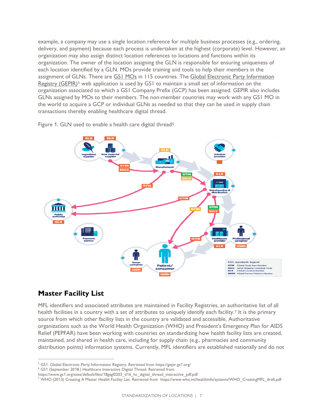example, a company may use a single location reference for multiple business processes (e.g., ordering, delivery, and payment) because each process is undertaken at the highest (corporate) level. However, an organization may also assign distinct location references to locations and functions within its organization. The owner of the location assigning the GLN is responsible for ensuring uniqueness of each location identified by a GLN. MOs provide training and tools to help their members in the assignment of GLNs. There are [GS1 MOs](https://www.gs1.org/contact) in 115 countries. The [Global Electronic Party Information](https://gepir.gs1.org/)  [Registry \(GEPIR\)](https://gepir.gs1.org/)<sup>[5](#page-7-1)</sup> web application is used by GS1 to maintain a small set of information on the organization associated to which a GS1 Company Prefix (GCP) has been assigned. GEPIR also includes GLNs assigned by MOs to their members. The non-member countries may work with any GS1 MO in the world to acquire a GCP or individual GLNs as needed so that they can be used in supply chain transactions thereby enabling healthcare digital thread.

Figure 1. GLN used to enable a health care digital thread<sup>[6](#page-7-2)</sup>



### <span id="page-7-0"></span>**Master Facility List**

MFL identifiers and associated attributes are maintained in Facility Registries, an authoritative list of all health facilities in a country with a set of attributes to uniquely identify each facility.<sup>[7](#page-7-3)</sup> It is the primary source from which other facility lists in the country are validated and accessible. Authoritative organizations such as the World Health Organization (WHO) and President's Emergency Plan for AIDS Relief (PEPFAR) have been working with countries on standardizing how health facility lists are created, maintained, and shared in health care, including for supply chain (e.g., pharmacies and community distribution points) information systems. Currently, MFL identifiers are established nationally and do not

<span id="page-7-1"></span><sup>5</sup> GS1. Global Electronic Party Information Registry. Retrieved from https://gepir.gs1.org/

<span id="page-7-2"></span><sup>6</sup> GS1 (September 2018.) Healthcare Interactive Digital Thread. Retrieved from

https://www.gs1.org/sites/default/files/18gsgl0203\_d16\_hc\_digital\_thread\_interactive\_pdf.pdf

<span id="page-7-3"></span><sup>7</sup> WHO (2013) Creating A Master Health Facility List. Retrieved from https://www.who.int/healthinfo/systems/WHO\_CreatingMFL\_draft.pdf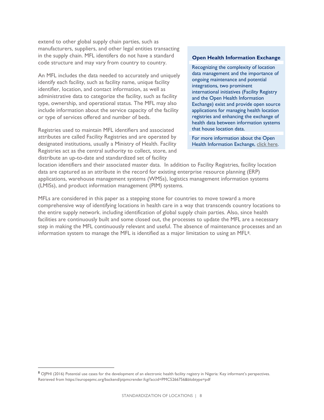extend to other global supply chain parties, such as manufacturers, suppliers, and other legal entities transacting in the supply chain. MFL identifers do not have a standard code structure and may vary from country to country.

An MFL includes the data needed to accurately and uniquely identify each facility, such as facility name, unique facility identifier, location, and contact information, as well as administrative data to categorize the facility, such as facility type, ownership, and operational status. The MFL may also include information about the service capacity of the facility or type of services offered and number of beds.

Registries used to maintain MFL identifiers and associated attributes are called Facility Registries and are operated by designated institutions, usually a Ministry of Health. Facility Registries act as the central authority to collect, store, and distribute an up-to-date and standardized set of facility

#### **Open Health Information Exchange**

Recognizing the complexity of location data management and the importance of ongoing maintenance and potential integrations, two prominent international initiatives (Facility Registry and the Open Health Information Exchange) exist and provide open source applications for managing health location registries and enhancing the exchange of health data between information systems that house location data.

For more information about the Open Health Information Exchange, [click here.](https://ohie.org/)

location identifiers and their associated master data. In addition to Facility Registries, facility location data are captured as an attribute in the record for existing enterprise resource planning (ERP) applications, warehouse management systems (WMSs), logistics management information systems (LMISs), and product information management (PIM) systems.

MFLs are considered in this paper as a stepping stone for countries to move toward a more comprehensive way of identifying locations in health care in a way that transcends country locations to the entire supply network. including identification of global supply chain parties. Also, since health facilities are continuously built and some closed out, the processes to update the MFL are a necessary step in making the MFL continuously relevant and useful. The absence of maintenance processes and an information system to manage the MFL is identified as a major limitation to using an MFL[8](#page-8-0).

<span id="page-8-0"></span><sup>8</sup> OIPHI (2016) Potential use cases for the development of an electronic health facility registry in Nigeria: Key informant's perspectives. Retrieved from https://europepmc.org/backend/ptpmcrender.fcgi?accid=PMC5266756&blobtype=pdf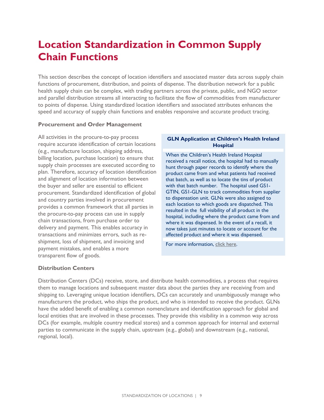## <span id="page-9-0"></span>**Location Standardization in Common Supply Chain Functions**

This section describes the concept of location identifiers and associated master data across supply chain functions of procurement, distribution, and points of dispense. The distribution network for a public health supply chain can be complex, with trading partners across the private, public, and NGO sector and parallel distribution streams all interacting to facilitate the flow of commodities from manufacturer to points of dispense. Using standardized location identifiers and associated attributes enhances the speed and accuracy of supply chain functions and enables responsive and accurate product tracing.

#### <span id="page-9-1"></span>**Procurement and Order Management**

All activities in the procure-to-pay process require accurate identification of certain locations (e.g., manufacture location, shipping address, billing location, purchase location) to ensure that supply chain processes are executed according to plan. Therefore, accuracy of location identification and alignment of location information between the buyer and seller are essential to efficient procurement. Standardized identification of global and country parties involved in procurement provides a common framework that all parties in the procure-to-pay process can use in supply chain transactions, from purchase order to delivery and payment. This enables accuracy in transactions and minimizes errors, such as reshipment, loss of shipment, and invoicing and payment mistakes, and enables a more transparent flow of goods.

#### **GLN Application at Children's Health Ireland Hospital**

When the Children's Health Ireland Hospital received a recall notice, the hospital had to manually hunt through paper records to identify where the product came from and what patients had received that batch, as well as to locate the tins of product with that batch number. The hospital used GS1- GTIN, GS1-GLN to track commodities from supplier to dispensation unit. GLNs were also assigned to each location to which goods are dispatched. This resulted in the full visibility of all product in the hospital, including where the product came from and where it was dispensed. In the event of a recall, it now takes just minutes to locate or account for the affected product and where it was dispensed.

For more information, [click here.](https://www.gs1ie.org/download_files/healthcare_files/traceability-of-infant-feeds-at-chi-at-temple-street-hrb-19-20.pdf)

#### <span id="page-9-2"></span>**Distribution Centers**

Distribution Centers (DCs) receive, store, and distribute health commodities, a process that requires them to manage locations and subsequent master data about the parties they are receiving from and shipping to. Leveraging unique location identifiers, DCs can accurately and unambiguously manage who manufacturers the product, who ships the product, and who is intended to receive the product. GLNs have the added benefit of enabling a common nomenclature and identification approach for global and local entities that are involved in these processes. They provide this visibility in a common way across DCs (for example, multiple country medical stores) and a common approach for internal and external parties to communicate in the supply chain, upstream (e.g., global) and downstream (e.g., national, regional, local).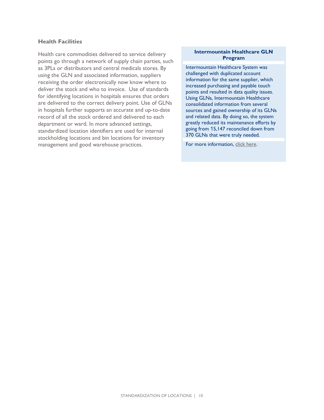#### <span id="page-10-0"></span>**Health Facilities**

Health care commodities delivered to service delivery points go through a network of supply chain parties, such as 3PLs or distributors and central medicals stores. By using the GLN and associated information, suppliers receiving the order electronically now know where to deliver the stock and who to invoice. Use of standards for identifying locations in hospitals ensures that orders are delivered to the correct delivery point. Use of GLNs in hospitals further supports an accurate and up-to-date record of all the stock ordered and delivered to each department or ward. In more advanced settings, standardized location identifiers are used for internal stockholding locations and bin locations for inventory management and good warehouse practices.

#### **Intermountain Healthcare GLN Program**

Intermountain Healthcare System was challenged with duplicated account information for the same supplier, which increased purchasing and payable touch points and resulted in data quality issues. Using GLNs, Intermountain Healthcare consolidated information from several sources and gained ownership of its GLNs and related data. By doing so, the system greatly reduced its maintenance efforts by going from 15,147 reconciled down from 370 GLNs that were truly needed.

For more information, [click here.](https://www.gs1us.org/DesktopModules/Bring2mind/DMX/Download.aspx?Command=Core_Download&EntryId=604)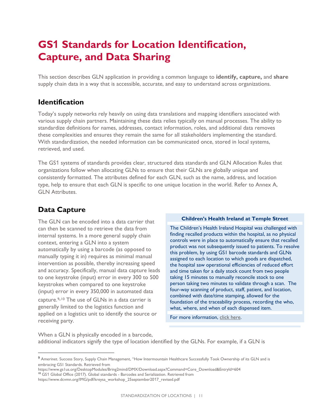## <span id="page-11-0"></span>**GS1 Standards for Location Identification, Capture, and Data Sharing**

<span id="page-11-1"></span>This section describes GLN application in providing a common language to **identify, capture,** and **share** supply chain data in a way that is accessible, accurate, and easy to understand across organizations.

### **Identification**

Today's supply networks rely heavily on using data translations and mapping identifiers associated with various supply chain partners. Maintaining these data relies typically on manual processes. The ability to standardize definitions for names, addresses, contact information, roles, and additional data removes these complexities and ensures they remain the same for all stakeholders implementing the standard. With standardization, the needed information can be communicated once, stored in local systems, retrieved, and used.

The GS1 systems of standards provides clear, structured data standards and GLN Allocation Rules that organizations follow when allocating GLNs to ensure that their GLNs are globally unique and consistently formatted. The attributes defined for each GLN, such as the name, address, and location type, help to ensure that each GLN is specific to one unique location in the world. Refer to Annex A, GLN Attributes.

### <span id="page-11-2"></span>**Data Capture**

The GLN can be encoded into a data carrier that can then be scanned to retrieve the data from internal systems. In a more general supply chain context, entering a GLN into a system automatically by using a barcode (as opposed to manually typing it in) requires as minimal manual intervention as possible, thereby increasing speed and accuracy. Specifically, manual data capture leads to one keystroke (input) error in every 300 to 500 keystrokes when compared to one keystroke (input) error in every 350,000 in automated data

capture.[9](#page-11-3),[10](#page-11-4) The use of GLNs in a data carrier is generally limited to the logistics function and applied on a logistics unit to identify the source or receiving party.

#### **Children's Health Ireland at Temple Street**

The Children's Health Ireland Hospital was challenged with finding recalled products within the hospital, as no physical controls were in place to automatically ensure that recalled product was not subsequently issued to patients. To resolve this problem, by using GS1 barcode standards and GLNs assigned to each location to which goods are dispatched, the hospital saw operational efficiencies of reduced effort and time taken for a daily stock count from two people taking 15 minutes to manually reconcile stock to one person taking two minutes to validate through a scan. The four-way scanning of product, staff, patient, and location, combined with date/time stamping, allowed for the foundation of the traceability process, recording the who, what, where, and when of each dispensed item.

For more information, [click here.](https://www.gs1ie.org/download_files/healthcare_files/traceability-of-infant-feeds-at-chi-at-temple-street-hrb-19-20.pdf) 

When a GLN is physically encoded in a barcode, additional indicators signify the type of location identified by the GLNs. For example, if a GLN is

<span id="page-11-3"></span><sup>9</sup> Amerinet. Success Story, Supply Chain Management, "How Intermountain Healthcare Successfully Took Ownership of its GLN and is embracing GS1 Standards. Retrieved from

<span id="page-11-4"></span>https://www.gs1us.org/DesktopModules/Bring2mind/DMX/Download.aspx?Command=Core\_Download&EntryId=604 <sup>10</sup> GS1 Global Office (2017). Global standards - Barcodes and Serialization. Retrieved from https://www.dcvmn.org/IMG/pdf/kreysa\_workshop\_25september2017\_revised.pdf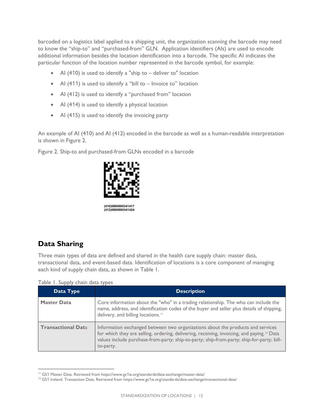barcoded on a logistics label applied to a shipping unit, the organization scanning the barcode may need to know the "ship-to" and "purchased-from" GLN. Application identifiers (AIs) are used to encode additional information besides the location identification into a barcode. The specific AI indicates the particular function of the location number represented in the barcode symbol, for example:

- AI (410) is used to identify a "ship to deliver to" location
- Al (411) is used to identify a "bill to Invoice to" location
- AI (412) is used to identify a "purchased from" location
- Al (414) is used to identify a physical location
- Al (415) is used to identify the invoicing party

An example of AI (410) and AI (412) encoded in the barcode as well as a human-readable interpretation is shown in Figure 2.

<span id="page-12-0"></span>Figure 2. Ship-to and purchased-from GLNs encoded in a barcode



 **(410)0860000341417 (412)0860000341424**

### **Data Sharing**

Three main types of data are defined and shared in the health care supply chain: master data, transactional data, and event-based data. Identification of locations is a core component of managing each kind of supply chain data, as shown in Table 1.

Table 1. Supply chain data types

<span id="page-12-2"></span><span id="page-12-1"></span>

| Data Type                 | <b>Description</b>                                                                                                                                                                                                                                                                                  |
|---------------------------|-----------------------------------------------------------------------------------------------------------------------------------------------------------------------------------------------------------------------------------------------------------------------------------------------------|
| <b>Master Data</b>        | Core information about the "who" in a trading relationship. The who can include the<br>name, address, and identification codes of the buyer and seller plus details of shipping,<br>delivery, and billing locations."                                                                               |
| <b>Transactional Data</b> | Information exchanged between two organizations about the products and services<br>for which they are selling, ordering, delivering, receiving, invoicing, and paying. <sup>12</sup> Data<br>values include purchase-from-party; ship-to-party; ship-from-party; ship-for-party; bill-<br>to-party. |

<sup>&</sup>lt;sup>11</sup> GS1 Master Data. Retrieved from https://www.gs1ie.org/standards/data-exchange/master-data/

<span id="page-12-4"></span><span id="page-12-3"></span><sup>&</sup>lt;sup>12</sup> GS1 Ireland. Transaction Data. Retrieved from https://www.gs1ie.org/standards/data-exchange/transactional-data/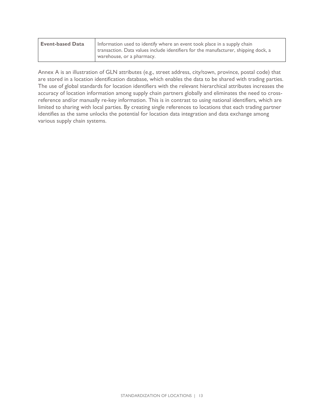<span id="page-13-0"></span>

| <b>Event-based Data</b> | Information used to identify where an event took place in a supply chain<br>transaction. Data values include identifiers for the manufacturer, shipping dock, a |
|-------------------------|-----------------------------------------------------------------------------------------------------------------------------------------------------------------|
|                         | warehouse, or a pharmacy.                                                                                                                                       |

Annex A is an illustration of GLN attributes (e.g., street address, city/town, province, postal code) that are stored in a location identification database, which enables the data to be shared with trading parties. The use of global standards for location identifiers with the relevant hierarchical attributes increases the accuracy of location information among supply chain partners globally and eliminates the need to crossreference and/or manually re-key information. This is in contrast to using national identifiers, which are limited to sharing with local parties. By creating single references to locations that each trading partner identifies as the same unlocks the potential for location data integration and data exchange among various supply chain systems.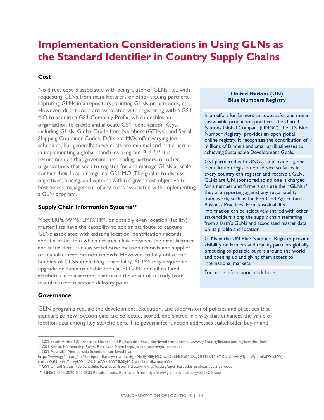### <span id="page-14-0"></span>**Implementation Considerations in Using GLNs as the Standard Identifier in Country Supply Chains**

#### **Cost**

No direct cost is associated with being a user of GLNs, i.e., with requesting GLNs from manufacturers or other trading partners, capturing GLNs in a repository, printing GLNs on barcodes, etc. However, direct costs are associated with registering with a GS1 MO to acquire a GS1 Company Prefix, which enables an organization to create and allocate GS1 Identification Keys, including GLNs, Global Trade Item Numbers (GTINs), and Serial Shipping Container Codes. Different MOs offer varying fee schedules, but generally these costs are minimal and not a barrier in implementing a global standards program.[13,](#page-14-1)[14](#page-14-2),[15](#page-14-3),[16](#page-14-4) It is recommended that governments, trading partners, or other organizations that seek to register for and manage GLNs at scale contact their local or regional GS1 MO. The goal is to discuss objectives, pricing, and options within a given cost objective to best assess management of any costs associated with implementing a GLN program.

#### **Supply Chain Information Systems[17](#page-14-5)**

Most ERPs, WMS, LMIS, PIM, or possibly even location (facility) master lists have the capability to add an attribute to capture GLNs associated with existing location identification records about a trade item which creates a link between the manufacturer and trade item, such as warehouse location records and supplier or manufacturer location records. However, to fully utilize the benefits of GLNs in enabling traceability, SCIMS may require an upgrade or patch to enable the use of GLNs and all its fixed attributes in transactions that track the chain of custody from manufacturer to service delivery point.

#### **United Nations (UN) Blue Numbers Registry**

In an effort for farmers to adopt safer and more sustainable production practices, the United Nations Global Compact (UNGC), the UN Blue Number Registry, provides an open global online registry. It recognizes the contribution of millions of farmers and small agribusinesses to achieving Sustainable Development Goals.

GS1 partnered with UNGC to provide a global identification registration service so farms in every country can register and receive a GLN. GLNs are UN sponsored so no one is charged for a number and farmers can use their GLNs if they are reporting against any sustainability framework, such as the Food and Agriculture Business Practices. Farm sustainability information can be selectively shared with other stakeholders along the supply chain stemming from a farm's GLNs and associated master data on its profile and location.

GLNs in the UN Blue Numbers Registry provide visibility on farmers and trading partners globally practicing to possible buyers around the world and opening up and giving them access to international markets.

For more information, [click here.](https://www.gs1.org/sites/default/files/docs/retail/gln-for-farms.pdf)

#### **Governance**

GLN programs require the development, execution, and supervision of policies and practices that standardize how location data are collected, stored, and shared in a way that enhances the value of location data among key stakeholders. The governance function addresses stakeholder buy-in and

<span id="page-14-2"></span><span id="page-14-1"></span><sup>&</sup>lt;sup>13</sup> GS1 South Africa. GS1 Barcode License and Registration Fees. Retrieved from: https://www.gs1za.org/licence-and-registration-fees/

<sup>&</sup>lt;sup>14</sup> GS1 Kenya. Membership Form. Retrieved from: http://gs1kenya.org/get\_barcodes

<span id="page-14-3"></span><sup>&</sup>lt;sup>15</sup> GS1 Australia. Membership Schedule. Retrieved from:

https://www.gs1au.org/api/sharepointlibrary/download?g=Ny,8yNi8yMD,IwI,DE6NDU6MDcgQU18R1MxYXUtZmVlcy1pbmRpdmlkdWFsLWJh cmNvZGUtbnVtYmVyLWFuZC1mdWxsLW1lbS0yMDIwLTIxLnBkZnxmaWxl

<sup>16</sup> GS1 United States. Fee Schedule. Retrieved from: https://www.gs1us.org/upcs-barcodes-prefixes/get-a-barcode

<span id="page-14-5"></span><span id="page-14-4"></span><sup>17</sup> GHSC-PSM. 2020 GS1 SCIS Requirements. Retrieved from<http://www.ghsupplychain.org/GS1SCISReqs>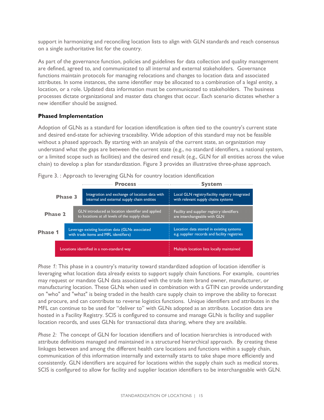support in harmonizing and reconciling location lists to align with GLN standards and reach consensus on a single authoritative list for the country.

As part of the governance function, policies and guidelines for data collection and quality management are defined, agreed to, and communicated to all internal and external stakeholders. Governance functions maintain protocols for managing relocations and changes to location data and associated attributes. In some instances, the same identifier may be allocated to a combination of a legal entity, a location, or a role. Updated data information must be communicated to stakeholders. The business processes dictate organizational and master data changes that occur. Each scenario dictates whether a new identifier should be assigned.

#### **Phased Implementation**

Adoption of GLNs as a standard for location identification is often tied to the country's current state and desired end-state for achieving traceability. Wide adoption of this standard may not be feasible without a phased approach. By starting with an analysis of the current state, an organization may understand what the gaps are between the current state (e.g., no standard identifiers, a national system, or a limited scope such as facilities) and the desired end result (e.g., GLN for all entities across the value chain) to develop a plan for standardization. Figure 3 provides an illustrative three-phase approach.

Figure 3. : Approach to leveraging GLNs for country location identification

|                |  |  | Process —<br>the control of the control of the                                                      | <b>System</b>                                                                             |  |
|----------------|--|--|-----------------------------------------------------------------------------------------------------|-------------------------------------------------------------------------------------------|--|
| <b>Phase 3</b> |  |  | Integration and exchange of location data with<br>internal and external supply chain entities       | Local GLN registry/facility registry integrated<br>with relevant supply chains systems    |  |
| <b>Phase 2</b> |  |  | GLN introduced as location identifier and applied<br>to locations at all levels of the supply chain | Facility and supplier registry identifiers<br>are interchangeable with GLN                |  |
| <b>Phase 1</b> |  |  | Leverage existing location data (GLNs associated<br>with trade items and MFL identifiers)           | Location data stored in existing systems<br>e.g. supplier records and facility registries |  |
|                |  |  | Locations identified in a non-standard way                                                          | Multiple location lists locally maintained                                                |  |

*Phase 1:* This phase in a country's maturity toward standardized adoption of location identifier is leveraging what location data already exists to support supply chain functions. For example, countries may request or mandate GLN data associated with the trade item brand owner, manufacturer, or manufacturing location. These GLNs when used in combination with a GTIN can provide understanding on "who" and "what" is being traded in the health care supply chain to improve the ability to forecast and procure, and can contribute to reverse logistics functions. Unique identifiers and attributes in the MFL can continue to be used for "deliver to" with GLNs adopted as an attribute. Location data are hosted in a Facility Registry. SCIS is configured to consume and manage GLNs is facility and supplier location records, and uses GLNs for transactional data sharing, where they are available.

*Phase 2:* The concept of GLN for location identifiers and of location hierarchies is introduced with attribute definitions managed and maintained in a structured hierarchical approach. By creating these linkages between and among the different health care locations and functions within a supply chain, communication of this information internally and externally starts to take shape more efficiently and consistently. GLN identifiers are acquired for locations within the supply chain such as medical stores. SCIS is configured to allow for facility and supplier location identifiers to be interchangeable with GLN.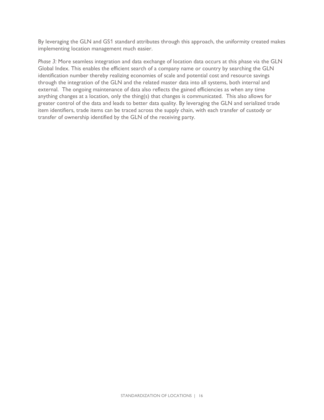By leveraging the GLN and GS1 standard attributes through this approach, the uniformity created makes implementing location management much easier.

*Phase 3:* More seamless integration and data exchange of location data occurs at this phase via the GLN Global Index. This enables the efficient search of a company name or country by searching the GLN identification number thereby realizing economies of scale and potential cost and resource savings through the integration of the GLN and the related master data into all systems, both internal and external. The ongoing maintenance of data also reflects the gained efficiencies as when any time anything changes at a location, only the thing(s) that changes is communicated. This also allows for greater control of the data and leads to better data quality. By leveraging the GLN and serialized trade item identifiers, trade items can be traced across the supply chain, with each transfer of custody or transfer of ownership identified by the GLN of the receiving party.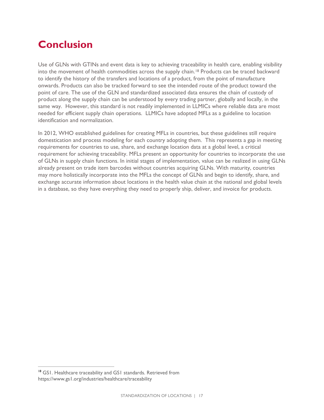## <span id="page-17-0"></span>**Conclusion**

Use of GLNs with GTINs and event data is key to achieving traceability in health care, enabling visibility into the movement of health commodities across the supply chain.<sup>[18](#page-17-1)</sup> Products can be traced backward to identify the history of the transfers and locations of a product, from the point of manufacture onwards. Products can also be tracked forward to see the intended route of the product toward the point of care. The use of the GLN and standardized associated data ensures the chain of custody of product along the supply chain can be understood by every trading partner, globally and locally, in the same way. However, this standard is not readily implemented in LLMICs where reliable data are most needed for efficient supply chain operations. LLMICs have adopted MFLs as a guideline to location identification and normalization.

In 2012, WHO established guidelines for creating MFLs in countries, but these guidelines still require domestication and process modeling for each country adopting them. This represents a gap in meeting requirements for countries to use, share, and exchange location data at a global level, a critical requirement for achieving traceability. MFLs present an opportunity for countries to incorporate the use of GLNs in supply chain functions. In initial stages of implementation, value can be realized in using GLNs already present on trade item barcodes without countries acquiring GLNs. With maturity, countries may more holistically incorporate into the MFLs the concept of GLNs and begin to identify, share, and exchange accurate information about locations in the health value chain at the national and global levels in a database, so they have everything they need to properly ship, deliver, and invoice for products.

<span id="page-17-1"></span><sup>&</sup>lt;sup>18</sup> GS1. Healthcare traceability and GS1 standards. Retrieved from https://www.gs1.org/industries/healthcare/traceability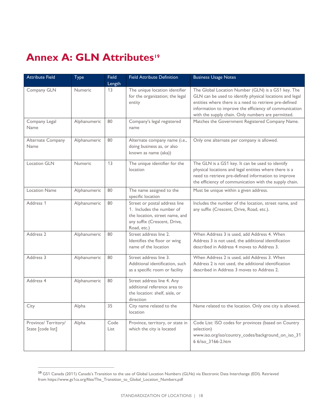## <span id="page-18-0"></span>**Annex A: GLN Attributes[19](#page-18-1)**

| <b>Attribute Field</b>                   | Type         | <b>Field</b><br>Length | <b>Field Attribute Definition</b>                                                                                                           | <b>Business Usage Notes</b>                                                                                                                                                                                                                                                              |
|------------------------------------------|--------------|------------------------|---------------------------------------------------------------------------------------------------------------------------------------------|------------------------------------------------------------------------------------------------------------------------------------------------------------------------------------------------------------------------------------------------------------------------------------------|
| Company GLN                              | Numeric      | 13                     | The unique location identifier<br>for the organization; the legal<br>entity                                                                 | The Global Location Number (GLN) is a GS1 key. The<br>GLN can be used to identify physical locations and legal<br>entities where there is a need to retrieve pre-defined<br>information to improve the efficiency of communication<br>with the supply chain. Only numbers are permitted. |
| Company Legal<br>Name                    | Alphanumeric | 80                     | Company's legal registered<br>name                                                                                                          | Matches the Government Registered Company Name.                                                                                                                                                                                                                                          |
| Alternate Company<br>Name                | Alphanumeric | 80                     | Alternate company name (i.e.,<br>doing business as, or also<br>known as name (aka))                                                         | Only one alternate per company is allowed.                                                                                                                                                                                                                                               |
| <b>Location GLN</b>                      | Numeric      | 13                     | The unique identifier for the<br>location                                                                                                   | The GLN is a GS1 key. It can be used to identify<br>physical locations and legal entities where there is a<br>need to retrieve pre-defined information to improve<br>the efficiency of communication with the supply chain.                                                              |
| <b>Location Name</b>                     | Alphanumeric | 80                     | The name assigned to the<br>specific location                                                                                               | Must be unique within a given address.                                                                                                                                                                                                                                                   |
| Address 1                                | Alphanumeric | 80                     | Street or postal address line<br>1. Includes the number of<br>the location, street name, and<br>any suffix (Crescent, Drive,<br>Road, etc.) | Includes the number of the location, street name, and<br>any suffix (Crescent, Drive, Road, etc.).                                                                                                                                                                                       |
| Address 2                                | Alphanumeric | 80                     | Street address line 2.<br>Identifies the floor or wing<br>name of the location                                                              | When Address 3 is used, add Address 4. When<br>Address 3 is not used, the additional identification<br>described in Address 4 moves to Address 3.                                                                                                                                        |
| Address 3                                | Alphanumeric | 80                     | Street address line 3.<br>Additional identification, such<br>as a specific room or facility                                                 | When Address 2 is used, add Address 3. When<br>Address 2 is not used, the additional identification<br>described in Address 3 moves to Address 2.                                                                                                                                        |
| Address 4                                | Alphanumeric | 80                     | Street address line 4. Any<br>additional reference area to<br>the location: shelf, aisle, or<br>direction                                   |                                                                                                                                                                                                                                                                                          |
| City                                     | Alpha        | 35                     | City name related to the<br>location                                                                                                        | Name related to the location. Only one city is allowed.                                                                                                                                                                                                                                  |
| Province/Territory/<br>State [code list] | Alpha        | Code<br>List           | Province, territory, or state in<br>which the city is located                                                                               | Code List: ISO codes for provinces (based on Country<br>selection)<br>www.iso.org/iso/country_codes/background_on_iso_31<br>6 6/iso_3166-2.htm                                                                                                                                           |

<span id="page-18-1"></span><sup>19</sup> GS1 Canada (2011) Canada's Transition to the use of Global Location Numbers (GLNs) via Electronic Data Interchange (EDI). Retrieved from https://www.gs1ca.org/files/The\_Transition\_to\_Global\_Location\_Numbers.pdf